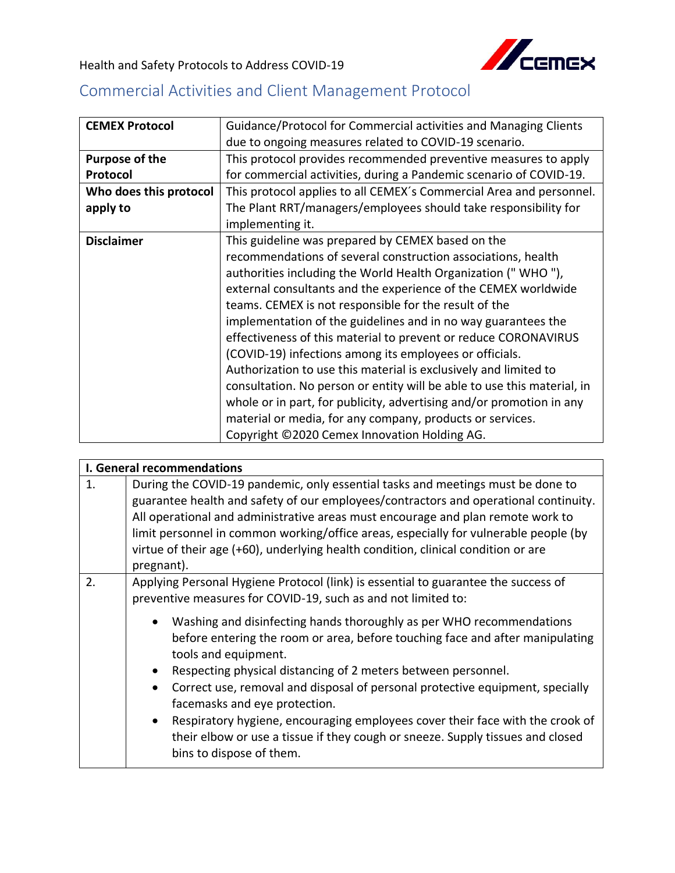

Health and Safety Protocols to Address COVID-19

## Commercial Activities and Client Management Protocol

| <b>CEMEX Protocol</b>  | Guidance/Protocol for Commercial activities and Managing Clients        |
|------------------------|-------------------------------------------------------------------------|
|                        | due to ongoing measures related to COVID-19 scenario.                   |
| Purpose of the         | This protocol provides recommended preventive measures to apply         |
| Protocol               | for commercial activities, during a Pandemic scenario of COVID-19.      |
| Who does this protocol | This protocol applies to all CEMEX's Commercial Area and personnel.     |
| apply to               | The Plant RRT/managers/employees should take responsibility for         |
|                        | implementing it.                                                        |
| <b>Disclaimer</b>      | This guideline was prepared by CEMEX based on the                       |
|                        | recommendations of several construction associations, health            |
|                        | authorities including the World Health Organization ("WHO"),            |
|                        | external consultants and the experience of the CEMEX worldwide          |
|                        | teams. CEMEX is not responsible for the result of the                   |
|                        | implementation of the guidelines and in no way guarantees the           |
|                        | effectiveness of this material to prevent or reduce CORONAVIRUS         |
|                        | (COVID-19) infections among its employees or officials.                 |
|                        | Authorization to use this material is exclusively and limited to        |
|                        | consultation. No person or entity will be able to use this material, in |
|                        | whole or in part, for publicity, advertising and/or promotion in any    |
|                        | material or media, for any company, products or services.               |
|                        | Copyright ©2020 Cemex Innovation Holding AG.                            |

| I. General recommendations |                                                                                                                                                                                             |
|----------------------------|---------------------------------------------------------------------------------------------------------------------------------------------------------------------------------------------|
| 1.                         | During the COVID-19 pandemic, only essential tasks and meetings must be done to                                                                                                             |
|                            | guarantee health and safety of our employees/contractors and operational continuity.                                                                                                        |
|                            | All operational and administrative areas must encourage and plan remote work to                                                                                                             |
|                            | limit personnel in common working/office areas, especially for vulnerable people (by                                                                                                        |
|                            | virtue of their age (+60), underlying health condition, clinical condition or are                                                                                                           |
|                            | pregnant).                                                                                                                                                                                  |
| 2.                         | Applying Personal Hygiene Protocol (link) is essential to guarantee the success of                                                                                                          |
|                            | preventive measures for COVID-19, such as and not limited to:                                                                                                                               |
|                            | Washing and disinfecting hands thoroughly as per WHO recommendations<br>before entering the room or area, before touching face and after manipulating<br>tools and equipment.               |
|                            | Respecting physical distancing of 2 meters between personnel.                                                                                                                               |
|                            | Correct use, removal and disposal of personal protective equipment, specially<br>facemasks and eye protection.                                                                              |
|                            | Respiratory hygiene, encouraging employees cover their face with the crook of<br>their elbow or use a tissue if they cough or sneeze. Supply tissues and closed<br>bins to dispose of them. |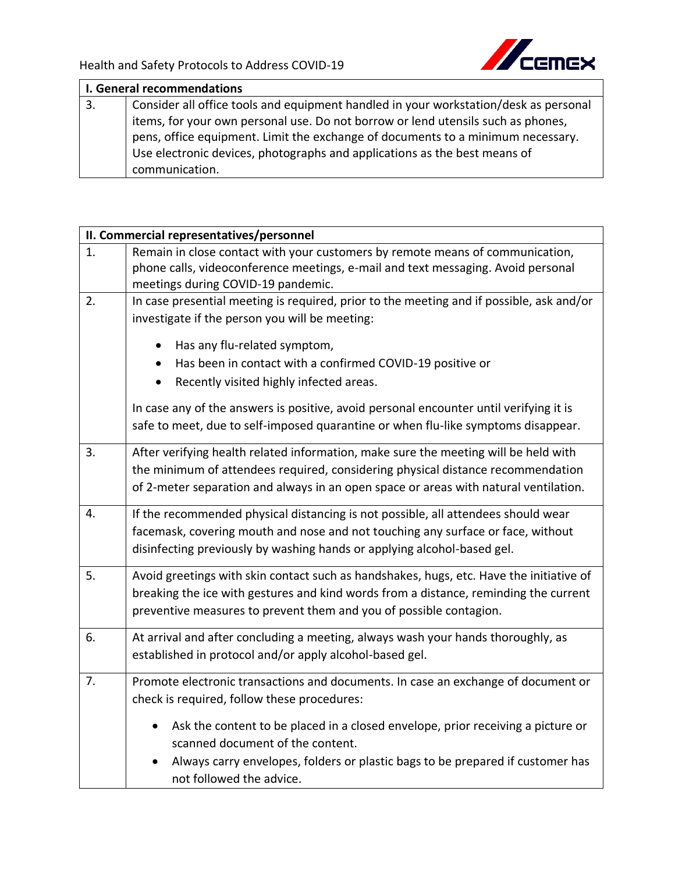

| I. General recommendations |                                                                                      |  |
|----------------------------|--------------------------------------------------------------------------------------|--|
| 3.                         | Consider all office tools and equipment handled in your workstation/desk as personal |  |
|                            | items, for your own personal use. Do not borrow or lend utensils such as phones,     |  |
|                            | pens, office equipment. Limit the exchange of documents to a minimum necessary.      |  |
|                            | Use electronic devices, photographs and applications as the best means of            |  |
|                            | communication.                                                                       |  |

|    | II. Commercial representatives/personnel                                                 |  |
|----|------------------------------------------------------------------------------------------|--|
| 1. | Remain in close contact with your customers by remote means of communication,            |  |
|    | phone calls, videoconference meetings, e-mail and text messaging. Avoid personal         |  |
|    | meetings during COVID-19 pandemic.                                                       |  |
| 2. | In case presential meeting is required, prior to the meeting and if possible, ask and/or |  |
|    | investigate if the person you will be meeting:                                           |  |
|    | Has any flu-related symptom,                                                             |  |
|    | Has been in contact with a confirmed COVID-19 positive or                                |  |
|    | Recently visited highly infected areas.<br>$\bullet$                                     |  |
|    | In case any of the answers is positive, avoid personal encounter until verifying it is   |  |
|    | safe to meet, due to self-imposed quarantine or when flu-like symptoms disappear.        |  |
| 3. | After verifying health related information, make sure the meeting will be held with      |  |
|    | the minimum of attendees required, considering physical distance recommendation          |  |
|    | of 2-meter separation and always in an open space or areas with natural ventilation.     |  |
| 4. | If the recommended physical distancing is not possible, all attendees should wear        |  |
|    | facemask, covering mouth and nose and not touching any surface or face, without          |  |
|    | disinfecting previously by washing hands or applying alcohol-based gel.                  |  |
| 5. | Avoid greetings with skin contact such as handshakes, hugs, etc. Have the initiative of  |  |
|    | breaking the ice with gestures and kind words from a distance, reminding the current     |  |
|    | preventive measures to prevent them and you of possible contagion.                       |  |
|    |                                                                                          |  |
| 6. | At arrival and after concluding a meeting, always wash your hands thoroughly, as         |  |
|    | established in protocol and/or apply alcohol-based gel.                                  |  |
| 7. | Promote electronic transactions and documents. In case an exchange of document or        |  |
|    | check is required, follow these procedures:                                              |  |
|    | Ask the content to be placed in a closed envelope, prior receiving a picture or          |  |
|    | scanned document of the content.                                                         |  |
|    | Always carry envelopes, folders or plastic bags to be prepared if customer has           |  |
|    | not followed the advice.                                                                 |  |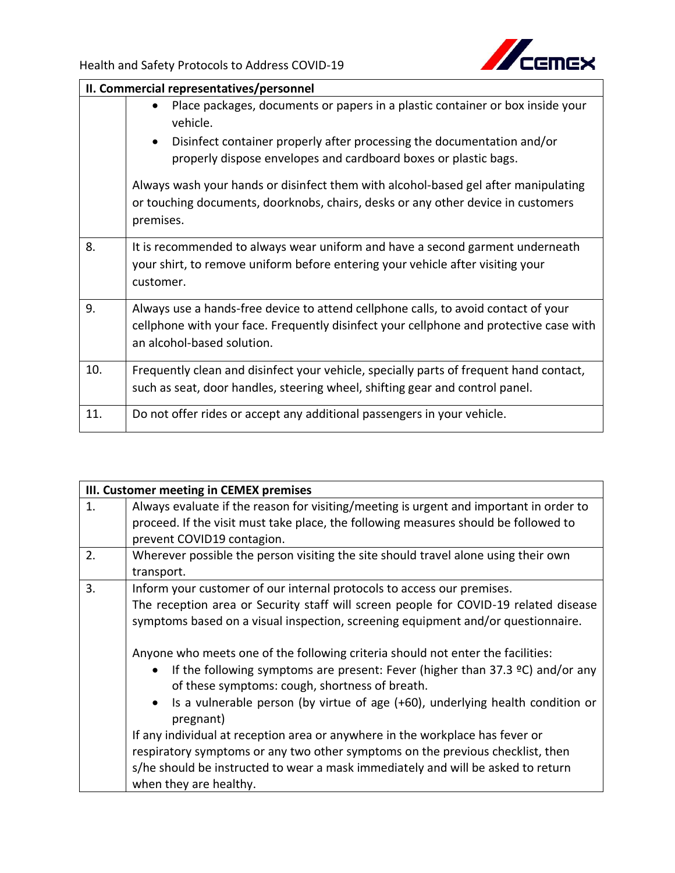

|     | II. Commercial representatives/personnel                                                                                                                                                                   |  |  |
|-----|------------------------------------------------------------------------------------------------------------------------------------------------------------------------------------------------------------|--|--|
|     | Place packages, documents or papers in a plastic container or box inside your<br>$\bullet$<br>vehicle.<br>Disinfect container properly after processing the documentation and/or<br>$\bullet$              |  |  |
|     | properly dispose envelopes and cardboard boxes or plastic bags.                                                                                                                                            |  |  |
|     | Always wash your hands or disinfect them with alcohol-based gel after manipulating<br>or touching documents, doorknobs, chairs, desks or any other device in customers<br>premises.                        |  |  |
| 8.  | It is recommended to always wear uniform and have a second garment underneath<br>your shirt, to remove uniform before entering your vehicle after visiting your<br>customer.                               |  |  |
| 9.  | Always use a hands-free device to attend cellphone calls, to avoid contact of your<br>cellphone with your face. Frequently disinfect your cellphone and protective case with<br>an alcohol-based solution. |  |  |
| 10. | Frequently clean and disinfect your vehicle, specially parts of frequent hand contact,<br>such as seat, door handles, steering wheel, shifting gear and control panel.                                     |  |  |
| 11. | Do not offer rides or accept any additional passengers in your vehicle.                                                                                                                                    |  |  |

|                | III. Customer meeting in CEMEX premises                                                                                           |  |
|----------------|-----------------------------------------------------------------------------------------------------------------------------------|--|
| $\mathbf{1}$ . | Always evaluate if the reason for visiting/meeting is urgent and important in order to                                            |  |
|                | proceed. If the visit must take place, the following measures should be followed to                                               |  |
|                | prevent COVID19 contagion.                                                                                                        |  |
| 2.             | Wherever possible the person visiting the site should travel alone using their own                                                |  |
|                | transport.                                                                                                                        |  |
| 3.             | Inform your customer of our internal protocols to access our premises.                                                            |  |
|                | The reception area or Security staff will screen people for COVID-19 related disease                                              |  |
|                | symptoms based on a visual inspection, screening equipment and/or questionnaire.                                                  |  |
|                |                                                                                                                                   |  |
|                | Anyone who meets one of the following criteria should not enter the facilities:                                                   |  |
|                | If the following symptoms are present: Fever (higher than $37.3$ °C) and/or any<br>of these symptoms: cough, shortness of breath. |  |
|                | Is a vulnerable person (by virtue of age (+60), underlying health condition or<br>pregnant)                                       |  |
|                | If any individual at reception area or anywhere in the workplace has fever or                                                     |  |
|                | respiratory symptoms or any two other symptoms on the previous checklist, then                                                    |  |
|                | s/he should be instructed to wear a mask immediately and will be asked to return                                                  |  |
|                | when they are healthy.                                                                                                            |  |